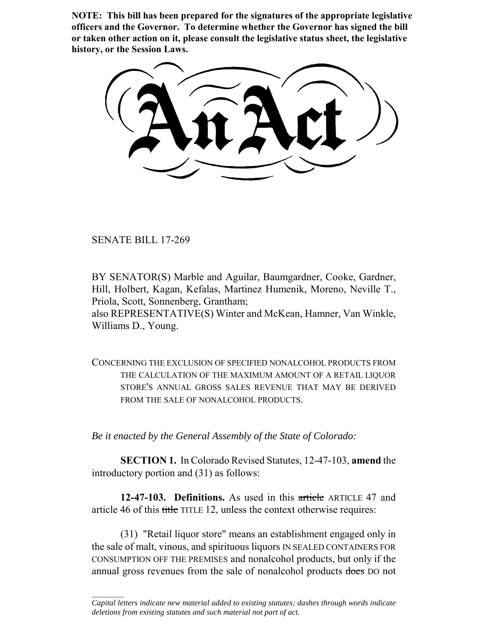**NOTE: This bill has been prepared for the signatures of the appropriate legislative officers and the Governor. To determine whether the Governor has signed the bill or taken other action on it, please consult the legislative status sheet, the legislative history, or the Session Laws.**

SENATE BILL 17-269

 $\frac{1}{2}$ 

BY SENATOR(S) Marble and Aguilar, Baumgardner, Cooke, Gardner, Hill, Holbert, Kagan, Kefalas, Martinez Humenik, Moreno, Neville T., Priola, Scott, Sonnenberg, Grantham;

also REPRESENTATIVE(S) Winter and McKean, Hamner, Van Winkle, Williams D., Young.

CONCERNING THE EXCLUSION OF SPECIFIED NONALCOHOL PRODUCTS FROM THE CALCULATION OF THE MAXIMUM AMOUNT OF A RETAIL LIQUOR STORE'S ANNUAL GROSS SALES REVENUE THAT MAY BE DERIVED FROM THE SALE OF NONALCOHOL PRODUCTS.

*Be it enacted by the General Assembly of the State of Colorado:*

**SECTION 1.** In Colorado Revised Statutes, 12-47-103, **amend** the introductory portion and (31) as follows:

**12-47-103. Definitions.** As used in this article ARTICLE 47 and article 46 of this title TITLE 12, unless the context otherwise requires:

(31) "Retail liquor store" means an establishment engaged only in the sale of malt, vinous, and spirituous liquors IN SEALED CONTAINERS FOR CONSUMPTION OFF THE PREMISES and nonalcohol products, but only if the annual gross revenues from the sale of nonalcohol products does DO not

*Capital letters indicate new material added to existing statutes; dashes through words indicate deletions from existing statutes and such material not part of act.*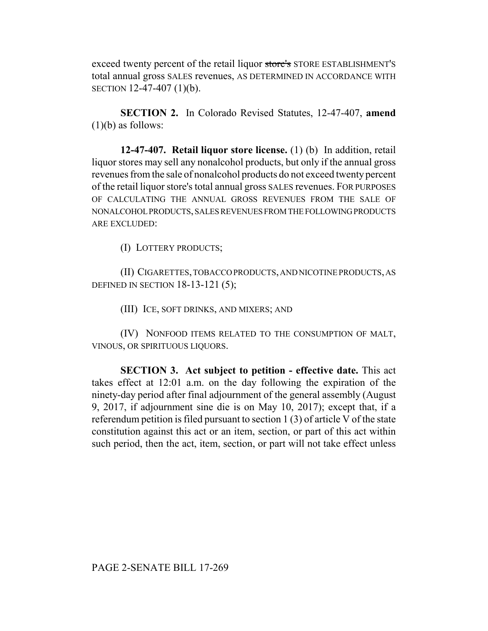exceed twenty percent of the retail liquor store's STORE ESTABLISHMENT'S total annual gross SALES revenues, AS DETERMINED IN ACCORDANCE WITH SECTION 12-47-407 (1)(b).

**SECTION 2.** In Colorado Revised Statutes, 12-47-407, **amend**  $(1)(b)$  as follows:

**12-47-407. Retail liquor store license.** (1) (b) In addition, retail liquor stores may sell any nonalcohol products, but only if the annual gross revenues from the sale of nonalcohol products do not exceed twenty percent of the retail liquor store's total annual gross SALES revenues. FOR PURPOSES OF CALCULATING THE ANNUAL GROSS REVENUES FROM THE SALE OF NONALCOHOL PRODUCTS, SALES REVENUES FROM THE FOLLOWING PRODUCTS ARE EXCLUDED:

(I) LOTTERY PRODUCTS;

(II) CIGARETTES, TOBACCO PRODUCTS, AND NICOTINE PRODUCTS, AS DEFINED IN SECTION 18-13-121 (5);

(III) ICE, SOFT DRINKS, AND MIXERS; AND

(IV) NONFOOD ITEMS RELATED TO THE CONSUMPTION OF MALT, VINOUS, OR SPIRITUOUS LIQUORS.

**SECTION 3. Act subject to petition - effective date.** This act takes effect at 12:01 a.m. on the day following the expiration of the ninety-day period after final adjournment of the general assembly (August 9, 2017, if adjournment sine die is on May 10, 2017); except that, if a referendum petition is filed pursuant to section 1 (3) of article V of the state constitution against this act or an item, section, or part of this act within such period, then the act, item, section, or part will not take effect unless